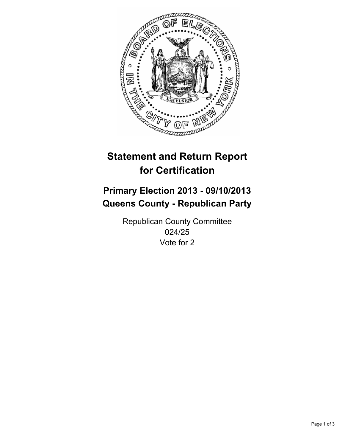

# **Statement and Return Report for Certification**

## **Primary Election 2013 - 09/10/2013 Queens County - Republican Party**

Republican County Committee 024/25 Vote for 2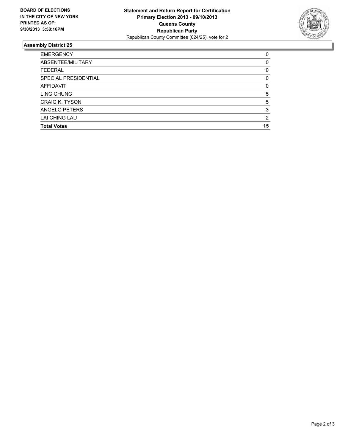

## **Assembly District 25**

| <b>EMERGENCY</b>      | 0        |
|-----------------------|----------|
| ABSENTEE/MILITARY     | 0        |
| <b>FEDERAL</b>        | 0        |
| SPECIAL PRESIDENTIAL  | $\Omega$ |
| AFFIDAVIT             | 0        |
| LING CHUNG            | 5        |
| <b>CRAIG K. TYSON</b> | 5        |
| ANGELO PETERS         | 3        |
| LAI CHING LAU         | 2        |
| <b>Total Votes</b>    | 15       |